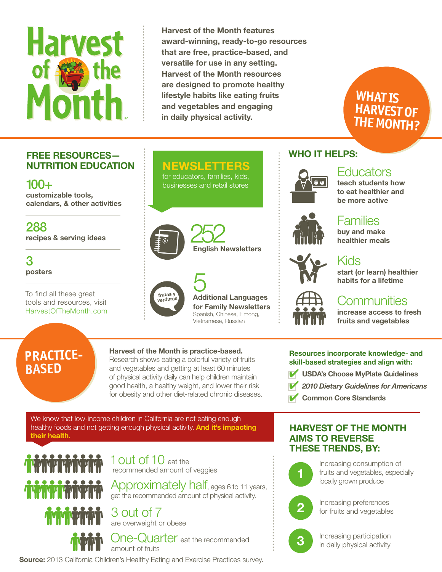# **Harvest** TM

Harvest of the Month features award-winning, ready-to-go resources that are free, practice-based, and versatile for use in any setting. Harvest of the Month resources are designed to promote healthy lifestyle habits like eating fruits and vegetables and engaging in daily physical activity.

## FREE RESOURCES— NUTRITION EDUCATION

100+ customizable tools, calendars, & other activities

288 recipes & serving ideas

3 posters

To find all these great tools and resources, visit HarvestOfTheMonth.com

# NEWSLETTERS

for educators, families, kids, businesses and retail stores





5 Additional Languages for Family Newsletters Spanish, Chinese, Hmong, Vietnamese, Russian

WHO IT HELPS:



#### **Educators** teach students how

to eat healthier and be more active

**WHAT IS**

**HARVEST OF THE MONTH?**



**Families** buy and make

start (or learn) healthier habits for a lifetime



# **Communities**

increase access to fresh fruits and vegetables

# **PRACTICE-BASED**

#### Harvest of the Month is practice-based.

Research shows eating a colorful variety of fruits and vegetables and getting at least 60 minutes of physical activity daily can help children maintain good health, a healthy weight, and lower their risk for obesity and other diet-related chronic diseases.

We know that low-income children in California are not eating enough healthy foods and not getting enough physical activity. And it's impacting their health.



1 **OUT** Of 10 eat the recommended amount of veggies

Approximately half, ages 6 to 11 years, get the recommended amount of physical activity.



3 out of 7 are overweight or obese



One-Quarter eat the recommended amount of fruits

Source: 2013 California Children's Healthy Eating and Exercise Practices survey.

#### Resources incorporate knowledge- and skill-based strategies and align with:

- **USDA's Choose MyPlate Guidelines**
- ✔ *2010 Dietary Guidelines for Americans*
- **Common Core Standards**

### HARVEST OF THE MONTH AIMS TO REVERSE THESE TRENDS, BY:



Increasing consumption of fruits and vegetables, especially locally grown produce



Increasing preferences for fruits and vegetables



Increasing participation in daily physical activity